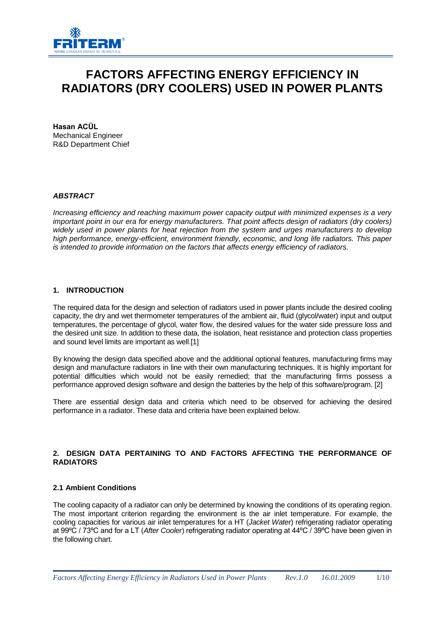

# **FACTORS AFFECTING ENERGY EFFICIENCY IN RADIATORS (DRY COOLERS) USED IN POWER PLANTS**

**Hasan ACÜL** Mechanical Engineer R&D Department Chief

#### *ABSTRACT*

*Increasing efficiency and reaching maximum power capacity output with minimized expenses is a very important point in our era for energy manufacturers. That point affects design of radiators (dry coolers) widely used in power plants for heat rejection from the system and urges manufacturers to develop high performance, energy-efficient, environment friendly, economic, and long life radiators. This paper is intended to provide information on the factors that affects energy efficiency of radiators.*

# **1. INTRODUCTION**

The required data for the design and selection of radiators used in power plants include the desired cooling capacity, the dry and wet thermometer temperatures of the ambient air, fluid (glycol/water) input and output temperatures, the percentage of glycol, water flow, the desired values for the water side pressure loss and the desired unit size. In addition to these data, the isolation, heat resistance and protection class properties and sound level limits are important as well.[1]

By knowing the design data specified above and the additional optional features, manufacturing firms may design and manufacture radiators in line with their own manufacturing techniques. It is highly important for potential difficulties which would not be easily remedied; that the manufacturing firms possess a performance approved design software and design the batteries by the help of this software/program. [2]

There are essential design data and criteria which need to be observed for achieving the desired performance in a radiator. These data and criteria have been explained below.

# **2. DESIGN DATA PERTAINING TO AND FACTORS AFFECTING THE PERFORMANCE OF RADIATORS**

#### **2.1 Ambient Conditions**

The cooling capacity of a radiator can only be determined by knowing the conditions of its operating region. The most important criterion regarding the environment is the air inlet temperature. For example, the cooling capacities for various air inlet temperatures for a HT (*Jacket Water*) refrigerating radiator operating at 99ºC / 73ºC and for a LT (*After Cooler*) refrigerating radiator operating at 44ºC / 39ºC have been given in the following chart.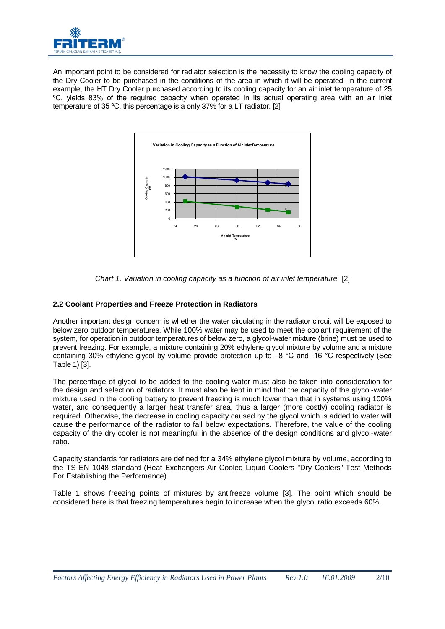

An important point to be considered for radiator selection is the necessity to know the cooling capacity of the Dry Cooler to be purchased in the conditions of the area in which it will be operated. In the current example, the HT Dry Cooler purchased according to its cooling capacity for an air inlet temperature of 25 ºC, yields 83% of the required capacity when operated in its actual operating area with an air inlet temperature of 35 ºC, this percentage is a only 37% for a LT radiator. [2]



*Chart 1. Variation in cooling capacity as a function of air inlet temperature* [2]

# **2.2 Coolant Properties and Freeze Protection in Radiators**

Another important design concern is whether the water circulating in the radiator circuit will be exposed to below zero outdoor temperatures. While 100% water may be used to meet the coolant requirement of the system, for operation in outdoor temperatures of below zero, a glycol-water mixture (brine) must be used to prevent freezing. For example, a mixture containing 20% ethylene glycol mixture by volume and a mixture containing 30% ethylene glycol by volume provide protection up to –8 °C and -16 °C respectively (See Table 1) [3].

The percentage of glycol to be added to the cooling water must also be taken into consideration for the design and selection of radiators. It must also be kept in mind that the capacity of the glycol-water mixture used in the cooling battery to prevent freezing is much lower than that in systems using 100% water, and consequently a larger heat transfer area, thus a larger (more costly) cooling radiator is required. Otherwise, the decrease in cooling capacity caused by the glycol which is added to water will cause the performance of the radiator to fall below expectations. Therefore, the value of the cooling capacity of the dry cooler is not meaningful in the absence of the design conditions and glycol-water ratio.

Capacity standards for radiators are defined for a 34% ethylene glycol mixture by volume, according to the TS EN 1048 standard (Heat Exchangers-Air Cooled Liquid Coolers "Dry Coolers"-Test Methods For Establishing the Performance).

Table 1 shows freezing points of mixtures by antifreeze volume [3]. The point which should be considered here is that freezing temperatures begin to increase when the glycol ratio exceeds 60%.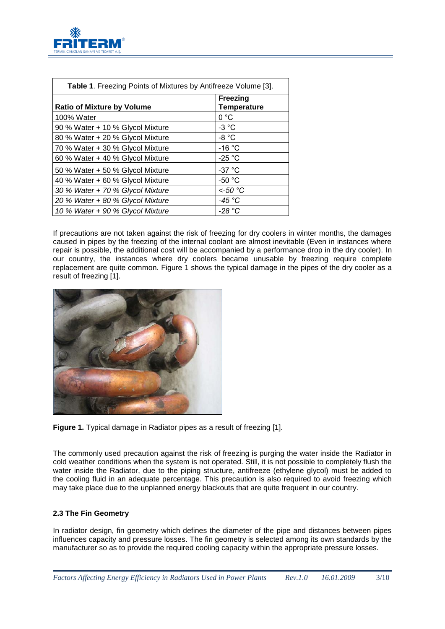

| Table 1. Freezing Points of Mixtures by Antifreeze Volume [3]. |                                       |  |  |
|----------------------------------------------------------------|---------------------------------------|--|--|
| <b>Ratio of Mixture by Volume</b>                              | <b>Freezing</b><br><b>Temperature</b> |  |  |
| 100% Water                                                     | 0 °C                                  |  |  |
| 90 % Water + 10 % Glycol Mixture                               | $-3 °C$                               |  |  |
| 80 % Water + 20 % Glycol Mixture                               | -8 °C                                 |  |  |
| 70 % Water + 30 % Glycol Mixture                               | $-16 °C$                              |  |  |
| 60 % Water + 40 % Glycol Mixture                               | $-25 °C$                              |  |  |
| 50 % Water + 50 % Glycol Mixture                               | $-37 °C$                              |  |  |
| 40 % Water + 60 % Glycol Mixture                               | $-50 °C$                              |  |  |
| 30 % Water + 70 % Glycol Mixture                               | $<$ -50 °C                            |  |  |
| 20 % Water + 80 % Glycol Mixture                               | -45 °C                                |  |  |
| 10 % Water + 90 % Glycol Mixture                               | -28 °C                                |  |  |

If precautions are not taken against the risk of freezing for dry coolers in winter months, the damages caused in pipes by the freezing of the internal coolant are almost inevitable (Even in instances where repair is possible, the additional cost will be accompanied by a performance drop in the dry cooler). In our country, the instances where dry coolers became unusable by freezing require complete replacement are quite common. Figure 1 shows the typical damage in the pipes of the dry cooler as a result of freezing [1].



**Figure 1.** Typical damage in Radiator pipes as a result of freezing [1].

The commonly used precaution against the risk of freezing is purging the water inside the Radiator in cold weather conditions when the system is not operated. Still, it is not possible to completely flush the water inside the Radiator, due to the piping structure, antifreeze (ethylene glycol) must be added to the cooling fluid in an adequate percentage. This precaution is also required to avoid freezing which may take place due to the unplanned energy blackouts that are quite frequent in our country.

# **2.3 The Fin Geometry**

In radiator design, fin geometry which defines the diameter of the pipe and distances between pipes influences capacity and pressure losses. The fin geometry is selected among its own standards by the manufacturer so as to provide the required cooling capacity within the appropriate pressure losses.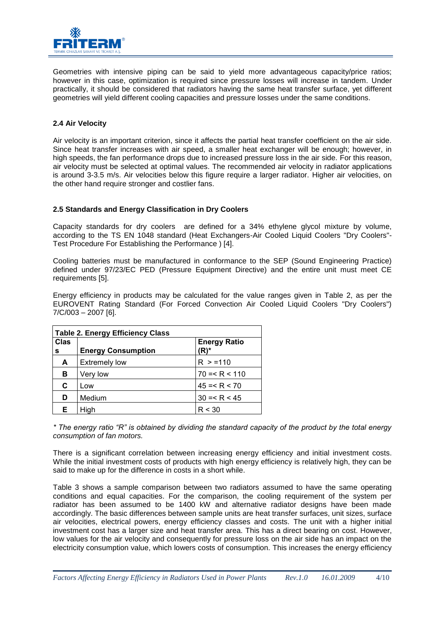

Geometries with intensive piping can be said to yield more advantageous capacity/price ratios; however in this case, optimization is required since pressure losses will increase in tandem. Under practically, it should be considered that radiators having the same heat transfer surface, yet different geometries will yield different cooling capacities and pressure losses under the same conditions.

# **2.4 Air Velocity**

Air velocity is an important criterion, since it affects the partial heat transfer coefficient on the air side. Since heat transfer increases with air speed, a smaller heat exchanger will be enough; however, in high speeds, the fan performance drops due to increased pressure loss in the air side. For this reason, air velocity must be selected at optimal values. The recommended air velocity in radiator applications is around 3-3.5 m/s. Air velocities below this figure require a larger radiator. Higher air velocities, on the other hand require stronger and costlier fans.

#### **2.5 Standards and Energy Classification in Dry Coolers**

Capacity standards for dry coolers are defined for a 34% ethylene glycol mixture by volume, according to the TS EN 1048 standard (Heat Exchangers-Air Cooled Liquid Coolers "Dry Coolers"- Test Procedure For Establishing the Performance ) [4].

Cooling batteries must be manufactured in conformance to the SEP (Sound Engineering Practice) defined under 97/23/EC PED (Pressure Equipment Directive) and the entire unit must meet CE requirements [5].

Energy efficiency in products may be calculated for the value ranges given in Table 2, as per the EUROVENT Rating Standard (For Forced Convection Air Cooled Liquid Coolers "Dry Coolers") 7/C/003 – 2007 [6].

| <b>Table 2. Energy Efficiency Class</b> |                           |                     |  |  |
|-----------------------------------------|---------------------------|---------------------|--|--|
| Clas                                    |                           | <b>Energy Ratio</b> |  |  |
| s                                       | <b>Energy Consumption</b> | (R)*                |  |  |
| A                                       | <b>Extremely low</b>      | R > 110             |  |  |
| в                                       | Very low                  | $70 = < R < 110$    |  |  |
| C                                       | Low                       | $45 = R < 70$       |  |  |
| D                                       | Medium                    | $30 = < R < 45$     |  |  |
| E.                                      | High                      | R < 30              |  |  |

*\* The energy ratio "R" is obtained by dividing the standard capacity of the product by the total energy consumption of fan motors.*

There is a significant correlation between increasing energy efficiency and initial investment costs. While the initial investment costs of products with high energy efficiency is relatively high, they can be said to make up for the difference in costs in a short while.

Table 3 shows a sample comparison between two radiators assumed to have the same operating conditions and equal capacities. For the comparison, the cooling requirement of the system per radiator has been assumed to be 1400 kW and alternative radiator designs have been made accordingly. The basic differences between sample units are heat transfer surfaces, unit sizes, surface air velocities, electrical powers, energy efficiency classes and costs. The unit with a higher initial investment cost has a larger size and heat transfer area. This has a direct bearing on cost. However, low values for the air velocity and consequently for pressure loss on the air side has an impact on the electricity consumption value, which lowers costs of consumption. This increases the energy efficiency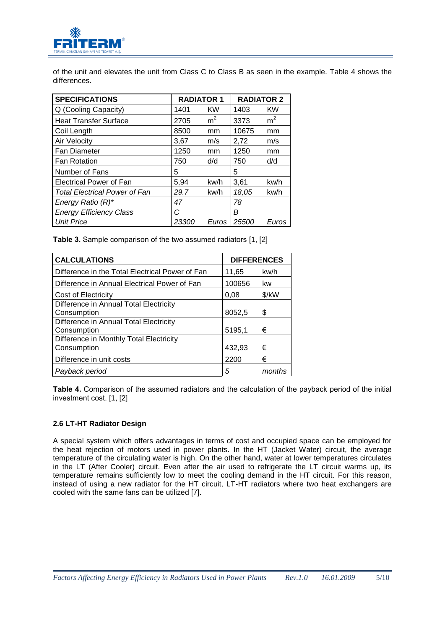

of the unit and elevates the unit from Class C to Class B as seen in the example. Table 4 shows the differences.

| <b>SPECIFICATIONS</b>                | <b>RADIATOR 1</b> |                | <b>RADIATOR 2</b> |                |
|--------------------------------------|-------------------|----------------|-------------------|----------------|
| Q (Cooling Capacity)                 | 1401              | KW             | 1403              | KW             |
| <b>Heat Transfer Surface</b>         | 2705              | m <sup>2</sup> | 3373              | m <sup>2</sup> |
| Coil Length                          | 8500              | mm             | 10675             | mm             |
| <b>Air Velocity</b>                  | 3,67              | m/s            | 2,72              | m/s            |
| <b>Fan Diameter</b>                  | 1250              | mm             | 1250              | mm             |
| <b>Fan Rotation</b>                  | 750               | d/d            | 750               | d/d            |
| Number of Fans                       | 5                 |                | 5                 |                |
| <b>Electrical Power of Fan</b>       | 5,94              | kw/h           | 3,61              | kw/h           |
| <b>Total Electrical Power of Fan</b> | 29.7              | kw/h           | 18,05             | kw/h           |
| Energy Ratio (R)*                    | 47                |                | 78                |                |
| <b>Energy Efficiency Class</b>       | C                 |                | В                 |                |
| <b>Unit Price</b>                    | 23300             | Euros          | 25500             | Euros          |

**Table 3.** Sample comparison of the two assumed radiators [1, [2]

| <b>CALCULATIONS</b>                                    | <b>DIFFERENCES</b> |                   |
|--------------------------------------------------------|--------------------|-------------------|
| Difference in the Total Electrical Power of Fan        | 11,65              | kw/h              |
| Difference in Annual Electrical Power of Fan           | 100656             | kw                |
| Cost of Electricity                                    | 0,08               | $\frac{1}{2}$ /kW |
| Difference in Annual Total Electricity<br>Consumption  | 8052,5             | \$                |
| Difference in Annual Total Electricity<br>Consumption  | 5195,1             | €                 |
| Difference in Monthly Total Electricity<br>Consumption | 432,93             | €                 |
| Difference in unit costs                               | 2200               | €                 |
| Payback period                                         | 5                  | months            |

**Table 4.** Comparison of the assumed radiators and the calculation of the payback period of the initial investment cost. [1, [2]

# **2.6 LT-HT Radiator Design**

A special system which offers advantages in terms of cost and occupied space can be employed for the heat rejection of motors used in power plants. In the HT (Jacket Water) circuit, the average temperature of the circulating water is high. On the other hand, water at lower temperatures circulates in the LT (After Cooler) circuit. Even after the air used to refrigerate the LT circuit warms up, its temperature remains sufficiently low to meet the cooling demand in the HT circuit. For this reason, instead of using a new radiator for the HT circuit, LT-HT radiators where two heat exchangers are cooled with the same fans can be utilized [7].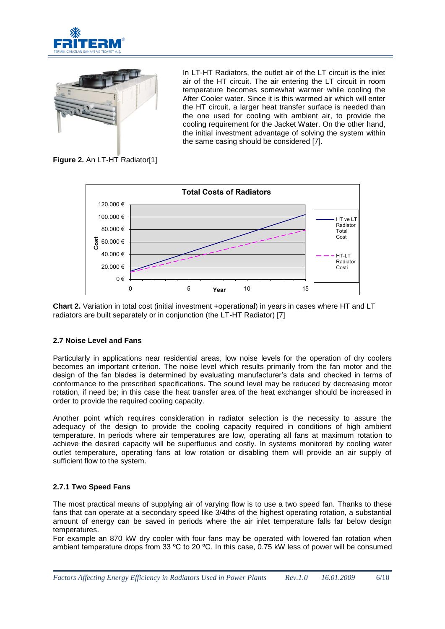



In LT-HT Radiators, the outlet air of the LT circuit is the inlet air of the HT circuit. The air entering the LT circuit in room temperature becomes somewhat warmer while cooling the After Cooler water. Since it is this warmed air which will enter the HT circuit, a larger heat transfer surface is needed than the one used for cooling with ambient air, to provide the cooling requirement for the Jacket Water. On the other hand, the initial investment advantage of solving the system within the same casing should be considered [7].

**Figure 2.** An LT-HT Radiator[1]





# **2.7 Noise Level and Fans**

Particularly in applications near residential areas, low noise levels for the operation of dry coolers becomes an important criterion. The noise level which results primarily from the fan motor and the design of the fan blades is determined by evaluating manufacturer's data and checked in terms of conformance to the prescribed specifications. The sound level may be reduced by decreasing motor rotation, if need be; in this case the heat transfer area of the heat exchanger should be increased in order to provide the required cooling capacity.

Another point which requires consideration in radiator selection is the necessity to assure the adequacy of the design to provide the cooling capacity required in conditions of high ambient temperature. In periods where air temperatures are low, operating all fans at maximum rotation to achieve the desired capacity will be superfluous and costly. In systems monitored by cooling water outlet temperature, operating fans at low rotation or disabling them will provide an air supply of sufficient flow to the system.

# **2.7.1 Two Speed Fans**

The most practical means of supplying air of varying flow is to use a two speed fan. Thanks to these fans that can operate at a secondary speed like 3/4ths of the highest operating rotation, a substantial amount of energy can be saved in periods where the air inlet temperature falls far below design temperatures.

For example an 870 kW dry cooler with four fans may be operated with lowered fan rotation when ambient temperature drops from 33 ºC to 20 ºC. In this case, 0.75 kW less of power will be consumed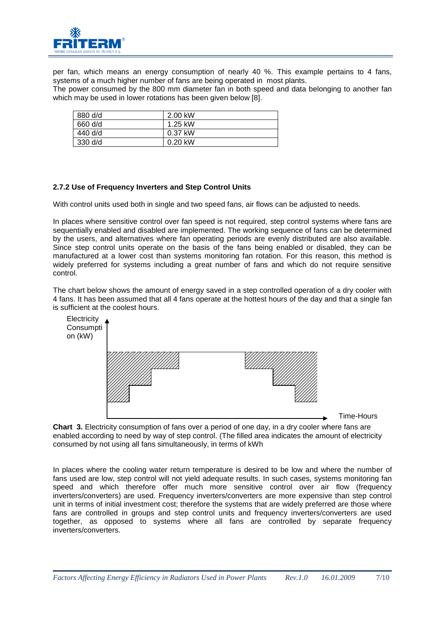

per fan, which means an energy consumption of nearly 40 %. This example pertains to 4 fans, systems of a much higher number of fans are being operated in most plants.

The power consumed by the 800 mm diameter fan in both speed and data belonging to another fan which may be used in lower rotations has been given below [8].

| 880 d/d | 2.00 kW   |
|---------|-----------|
| 660 d/d | 1.25 kW   |
| 440 d/d | 0.37 kW   |
| 330 d/d | $0.20$ kW |

#### **2.7.2 Use of Frequency Inverters and Step Control Units**

With control units used both in single and two speed fans, air flows can be adjusted to needs.

In places where sensitive control over fan speed is not required, step control systems where fans are sequentially enabled and disabled are implemented. The working sequence of fans can be determined by the users, and alternatives where fan operating periods are evenly distributed are also available. Since step control units operate on the basis of the fans being enabled or disabled, they can be manufactured at a lower cost than systems monitoring fan rotation. For this reason, this method is widely preferred for systems including a great number of fans and which do not require sensitive control.

The chart below shows the amount of energy saved in a step controlled operation of a dry cooler with 4 fans. It has been assumed that all 4 fans operate at the hottest hours of the day and that a single fan is sufficient at the coolest hours.



**Chart 3.** Electricity consumption of fans over a period of one day, in a dry cooler where fans are enabled according to need by way of step control. (The filled area indicates the amount of electricity consumed by not using all fans simultaneously, in terms of kWh

In places where the cooling water return temperature is desired to be low and where the number of fans used are low, step control will not yield adequate results. In such cases, systems monitoring fan speed and which therefore offer much more sensitive control over air flow (frequency inverters/converters) are used. Frequency inverters/converters are more expensive than step control unit in terms of initial investment cost; therefore the systems that are widely preferred are those where fans are controlled in groups and step control units and frequency inverters/converters are used together, as opposed to systems where all fans are controlled by separate frequency inverters/converters.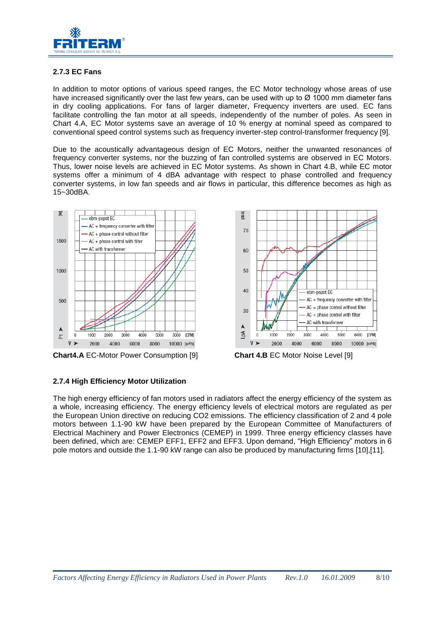

# **2.7.3 EC Fans**

In addition to motor options of various speed ranges, the EC Motor technology whose areas of use have increased significantly over the last few years, can be used with up to Ø 1000 mm diameter fans in dry cooling applications. For fans of larger diameter, Frequency inverters are used. EC fans facilitate controlling the fan motor at all speeds, independently of the number of poles. As seen in Chart 4.A, EC Motor systems save an average of 10 % energy at nominal speed as compared to conventional speed control systems such as frequency inverter-step control-transformer frequency [9].

Due to the acoustically advantageous design of EC Motors, neither the unwanted resonances of frequency converter systems, nor the buzzing of fan controlled systems are observed in EC Motors. Thus, lower noise levels are achieved in EC Motor systems. As shown in Chart 4.B, while EC motor systems offer a minimum of 4 dBA advantage with respect to phase controlled and frequency converter systems, in low fan speeds and air flows in particular, this difference becomes as high as 15~30dBA.



**Chart4.A** EC-Motor Power Consumption [9] **Chart 4.B** EC Motor Noise Level [9]





#### **2.7.4 High Efficiency Motor Utilization**

The high energy efficiency of fan motors used in radiators affect the energy efficiency of the system as a whole, increasing efficiency. The energy efficiency levels of electrical motors are regulated as per the European Union directive on reducing CO2 emissions. The efficiency classification of 2 and 4 pole motors between 1.1-90 kW have been prepared by the European Committee of Manufacturers of Electrical Machinery and Power Electronics (CEMEP) in 1999. Three energy efficiency classes have been defined, which are: CEMEP EFF1, EFF2 and EFF3. Upon demand, "High Efficiency" motors in 6 pole motors and outside the 1.1-90 kW range can also be produced by manufacturing firms [10],[11].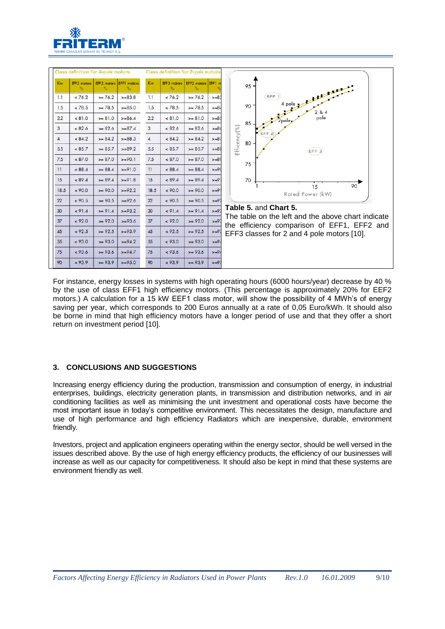



For instance, energy losses in systems with high operating hours (6000 hours/year) decrease by 40 % by the use of class EFF1 high efficiency motors. (This percentage is approximately 20% for EEF2 motors.) A calculation for a 15 kW EEF1 class motor, will show the possibility of 4 MWh's of energy saving per year, which corresponds to 200 Euros annually at a rate of 0.05 Euro/kWh. It should also be borne in mind that high efficiency motors have a longer period of use and that they offer a short return on investment period [10].

# **3. CONCLUSIONS AND SUGGESTIONS**

Increasing energy efficiency during the production, transmission and consumption of energy, in industrial enterprises, buildings, electricity generation plants, in transmission and distribution networks, and in air conditioning facilities as well as minimising the unit investment and operational costs have become the most important issue in today's competitive environment. This necessitates the design, manufacture and use of high performance and high efficiency Radiators which are inexpensive, durable, environment friendly.

Investors, project and application engineers operating within the energy sector, should be well versed in the issues described above. By the use of high energy efficiency products, the efficiency of our businesses will increase as well as our capacity for competitiveness. It should also be kept in mind that these systems are environment friendly as well.